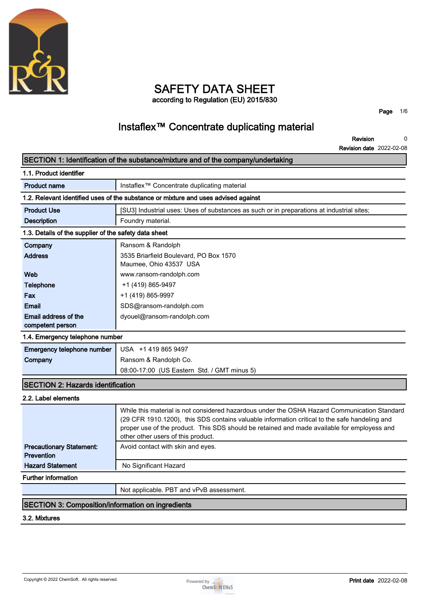

# **SAFETY DATA SHEET according to Regulation (EU) 2015/830**

**Page 1/6**

# **Instaflex™ Concentrate duplicating material**

**0**

# **Revision Revision date 2022-02-08 SECTION 1: Identification of the substance/mixture and of the company/undertaking 1.1. Product identifier Product name Instaflex™ Concentrate duplicating material 1.2. Relevant identified uses of the substance or mixture and uses advised against Product Use [SU3] Industrial uses: Uses of substances as such or in preparations at industrial sites; Description Foundry material. 1.3. Details of the supplier of the safety data sheet Company Ransom & Randolph Address 3535 Briarfield Boulevard, PO Box 1570 Maumee, Ohio 43537 USA Web www.ransom-randolph.com Telephone**  $+1 (419) 865-9497$ **Fax +1 (419) 865-9997 Email SDS@ransom-randolph.com Email address of the competent person dyouel@ransom-randolph.com 1.4. Emergency telephone number Emergency telephone number USA +1 419 865 9497 Company Ransom & Randolph Co. 08:00-17:00 (US Eastern Std. / GMT minus 5)**

## **SECTION 2: Hazards identification**

### **2.2. Label elements**

| <b>Precautionary Statement:</b> | While this material is not considered hazardous under the OSHA Hazard Communication Standard<br>(29 CFR 1910.1200), this SDS contains valuable information critical to the safe handeling and<br>proper use of the product. This SDS should be retained and made available for employess and<br>other other users of this product.<br>Avoid contact with skin and eyes. |
|---------------------------------|-------------------------------------------------------------------------------------------------------------------------------------------------------------------------------------------------------------------------------------------------------------------------------------------------------------------------------------------------------------------------|
| <b>Prevention</b>               |                                                                                                                                                                                                                                                                                                                                                                         |
| <b>Hazard Statement</b>         | No Significant Hazard                                                                                                                                                                                                                                                                                                                                                   |
| <b>Further information</b>      |                                                                                                                                                                                                                                                                                                                                                                         |

**Not applicable. PBT and vPvB assessment.**

### **SECTION 3: Composition/information on ingredients**

#### **3.2. Mixtures**

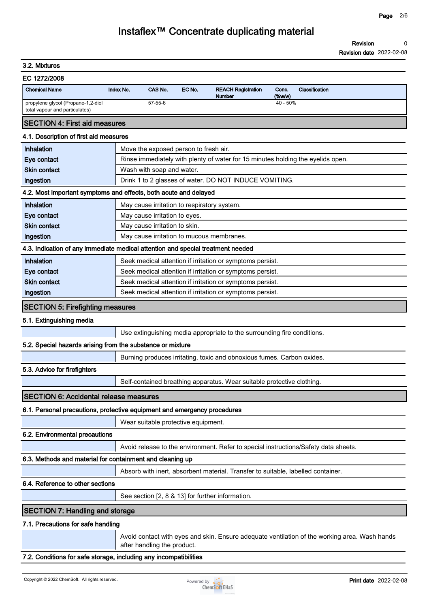| 3.2. Mixtures                                                                   |           |                                       |        |                                                                                     |                 |                                                                                               |
|---------------------------------------------------------------------------------|-----------|---------------------------------------|--------|-------------------------------------------------------------------------------------|-----------------|-----------------------------------------------------------------------------------------------|
| EC 1272/2008                                                                    |           |                                       |        |                                                                                     |                 |                                                                                               |
| <b>Chemical Name</b>                                                            | Index No. | CAS No.                               | EC No. | <b>REACH Registration</b><br><b>Number</b>                                          | Conc.<br>(%w/w) | Classification                                                                                |
| propylene glycol (Propane-1,2-diol<br>total vapour and particulates)            |           | 57-55-6                               |        |                                                                                     | 40 - 50%        |                                                                                               |
| <b>SECTION 4: First aid measures</b>                                            |           |                                       |        |                                                                                     |                 |                                                                                               |
| 4.1. Description of first aid measures                                          |           |                                       |        |                                                                                     |                 |                                                                                               |
| Inhalation                                                                      |           | Move the exposed person to fresh air. |        |                                                                                     |                 |                                                                                               |
| Eye contact                                                                     |           |                                       |        | Rinse immediately with plenty of water for 15 minutes holding the eyelids open.     |                 |                                                                                               |
| <b>Skin contact</b>                                                             |           | Wash with soap and water.             |        |                                                                                     |                 |                                                                                               |
| Ingestion                                                                       |           |                                       |        | Drink 1 to 2 glasses of water. DO NOT INDUCE VOMITING.                              |                 |                                                                                               |
| 4.2. Most important symptoms and effects, both acute and delayed                |           |                                       |        |                                                                                     |                 |                                                                                               |
| Inhalation                                                                      |           |                                       |        | May cause irritation to respiratory system.                                         |                 |                                                                                               |
| Eye contact                                                                     |           | May cause irritation to eyes.         |        |                                                                                     |                 |                                                                                               |
| <b>Skin contact</b>                                                             |           | May cause irritation to skin.         |        |                                                                                     |                 |                                                                                               |
| Ingestion                                                                       |           |                                       |        | May cause irritation to mucous membranes.                                           |                 |                                                                                               |
| 4.3. Indication of any immediate medical attention and special treatment needed |           |                                       |        |                                                                                     |                 |                                                                                               |
| Inhalation                                                                      |           |                                       |        | Seek medical attention if irritation or symptoms persist.                           |                 |                                                                                               |
| Eye contact                                                                     |           |                                       |        | Seek medical attention if irritation or symptoms persist.                           |                 |                                                                                               |
| <b>Skin contact</b>                                                             |           |                                       |        | Seek medical attention if irritation or symptoms persist.                           |                 |                                                                                               |
| Ingestion                                                                       |           |                                       |        | Seek medical attention if irritation or symptoms persist.                           |                 |                                                                                               |
| <b>SECTION 5: Firefighting measures</b>                                         |           |                                       |        |                                                                                     |                 |                                                                                               |
| 5.1. Extinguishing media                                                        |           |                                       |        |                                                                                     |                 |                                                                                               |
|                                                                                 |           |                                       |        | Use extinguishing media appropriate to the surrounding fire conditions.             |                 |                                                                                               |
| 5.2. Special hazards arising from the substance or mixture                      |           |                                       |        |                                                                                     |                 |                                                                                               |
|                                                                                 |           |                                       |        | Burning produces irritating, toxic and obnoxious fumes. Carbon oxides.              |                 |                                                                                               |
| 5.3. Advice for firefighters                                                    |           |                                       |        |                                                                                     |                 |                                                                                               |
|                                                                                 |           |                                       |        | Self-contained breathing apparatus. Wear suitable protective clothing.              |                 |                                                                                               |
| <b>SECTION 6: Accidental release measures</b>                                   |           |                                       |        |                                                                                     |                 |                                                                                               |
| 6.1. Personal precautions, protective equipment and emergency procedures        |           |                                       |        |                                                                                     |                 |                                                                                               |
|                                                                                 |           | Wear suitable protective equipment.   |        |                                                                                     |                 |                                                                                               |
| 6.2. Environmental precautions                                                  |           |                                       |        |                                                                                     |                 |                                                                                               |
|                                                                                 |           |                                       |        | Avoid release to the environment. Refer to special instructions/Safety data sheets. |                 |                                                                                               |
| 6.3. Methods and material for containment and cleaning up                       |           |                                       |        |                                                                                     |                 |                                                                                               |
|                                                                                 |           |                                       |        | Absorb with inert, absorbent material. Transfer to suitable, labelled container.    |                 |                                                                                               |
| 6.4. Reference to other sections                                                |           |                                       |        |                                                                                     |                 |                                                                                               |
|                                                                                 |           |                                       |        | See section [2, 8 & 13] for further information.                                    |                 |                                                                                               |
| <b>SECTION 7: Handling and storage</b>                                          |           |                                       |        |                                                                                     |                 |                                                                                               |
| 7.1. Precautions for safe handling                                              |           |                                       |        |                                                                                     |                 |                                                                                               |
|                                                                                 |           | after handling the product.           |        |                                                                                     |                 | Avoid contact with eyes and skin. Ensure adequate ventilation of the working area. Wash hands |
|                                                                                 |           |                                       |        |                                                                                     |                 |                                                                                               |

### **7.2. Conditions for safe storage, including any incompatibilities**

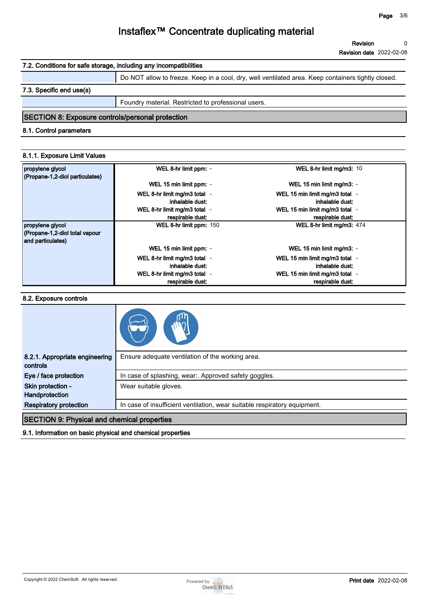**Revision 0**

**Revision date 2022-02-08**

| 7.2. Conditions for safe storage, including any incompatibilities |                                                                                                    |  |  |
|-------------------------------------------------------------------|----------------------------------------------------------------------------------------------------|--|--|
|                                                                   | Do NOT allow to freeze. Keep in a cool, dry, well ventilated area. Keep containers tightly closed. |  |  |
| 7.3. Specific end use(s)                                          |                                                                                                    |  |  |
|                                                                   | Foundry material. Restricted to professional users.                                                |  |  |
| SECTION 8: Exposure controls/personal protection                  |                                                                                                    |  |  |

# **8.1. Control parameters**

### **8.1.1. Exposure Limit Values**

| propylene glycol<br>(Propane-1,2-diol particulates)                     | WEL 8-hr limit ppm: -                            | WEL 8-hr limit mg/m3: 10                           |
|-------------------------------------------------------------------------|--------------------------------------------------|----------------------------------------------------|
|                                                                         | WEL 15 min limit ppm: -                          | WEL 15 min limit mg/m3: -                          |
|                                                                         | WEL 8-hr limit mg/m3 total -<br>inhalable dust:  | WEL 15 min limit mg/m3 total -<br>inhalable dust:  |
|                                                                         | WEL 8-hr limit mg/m3 total -<br>respirable dust: | WEL 15 min limit mg/m3 total -<br>respirable dust: |
| propylene glycol<br>(Propane-1,2-diol total vapour<br>and particulates) | WEL 8-hr limit ppm: 150                          | WEL 8-hr limit mg/m3: 474                          |
|                                                                         | WEL 15 min limit ppm: -                          | WEL 15 min limit mg/m3: -                          |
|                                                                         | WEL 8-hr limit mg/m3 total -<br>inhalable dust:  | WEL 15 min limit mg/m3 total -<br>inhalable dust:  |
|                                                                         | WEL 8-hr limit mg/m3 total -<br>respirable dust: | WEL 15 min limit mg/m3 total -<br>respirable dust: |

#### **8.2. Exposure controls**

| 8.2.1. Appropriate engineering<br>controls         | Ensure adequate ventilation of the working area.                          |  |
|----------------------------------------------------|---------------------------------------------------------------------------|--|
| Eye / face protection                              | In case of splashing, wear:. Approved safety goggles.                     |  |
| Skin protection -<br>Handprotection                | Wear suitable gloves.                                                     |  |
| <b>Respiratory protection</b>                      | In case of insufficient ventilation, wear suitable respiratory equipment. |  |
| <b>SECTION 9: Physical and chemical properties</b> |                                                                           |  |

#### **9.1. Information on basic physical and chemical properties**

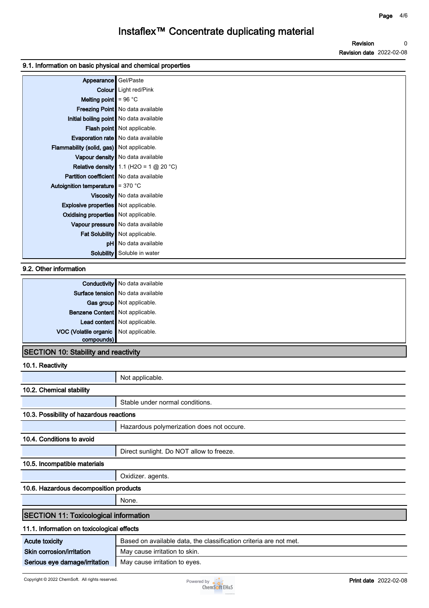**Revision Revision date 2022-02-08 0**

### **9.1. Information on basic physical and chemical properties**

| Appearance                                  | Gel/Paste                                 |
|---------------------------------------------|-------------------------------------------|
|                                             | <b>Colour</b> Light red/Pink              |
| Melting point $\parallel$ = 96 °C           |                                           |
|                                             | Freezing Point   No data available        |
|                                             | Initial boiling point   No data available |
|                                             | Flash point Not applicable.               |
|                                             | Evaporation rate   No data available      |
| Flammability (solid, gas) Not applicable.   |                                           |
|                                             | Vapour density   No data available        |
|                                             | Relative density 1.1 (H2O = 1 $@$ 20 °C)  |
| Partition coefficient   No data available   |                                           |
| Autoignition temperature $= 370$ °C         |                                           |
|                                             | Viscosity   No data available             |
| <b>Explosive properties</b> Not applicable. |                                           |
| Oxidising properties Not applicable.        |                                           |
|                                             | Vapour pressure No data available         |
|                                             | Fat Solubility   Not applicable.          |
|                                             | <b>pH</b> No data available               |
|                                             | Solubility Soluble in water               |

## **9.2. Other information**

| Surface tension   No data available<br>Gas group Not applicable. |
|------------------------------------------------------------------|
|                                                                  |
|                                                                  |
| Benzene Content Not applicable.                                  |
| Lead content Not applicable.                                     |
| VOC (Volatile organic Not applicable.                            |
| compounds)                                                       |

# **SECTION 10: Stability and reactivity**

## **10.1. Reactivity**

|                                              | Not applicable.                                                   |  |  |
|----------------------------------------------|-------------------------------------------------------------------|--|--|
| 10.2. Chemical stability                     |                                                                   |  |  |
|                                              | Stable under normal conditions.                                   |  |  |
| 10.3. Possibility of hazardous reactions     |                                                                   |  |  |
|                                              | Hazardous polymerization does not occure.                         |  |  |
| 10.4. Conditions to avoid                    |                                                                   |  |  |
|                                              | Direct sunlight. Do NOT allow to freeze.                          |  |  |
| 10.5. Incompatible materials                 |                                                                   |  |  |
|                                              | Oxidizer. agents.                                                 |  |  |
| 10.6. Hazardous decomposition products       |                                                                   |  |  |
|                                              | None.                                                             |  |  |
| <b>SECTION 11: Toxicological information</b> |                                                                   |  |  |
| 11.1. Information on toxicological effects   |                                                                   |  |  |
| <b>Acute toxicity</b>                        | Based on available data, the classification criteria are not met. |  |  |
| Skin corrosion/irritation                    | May cause irritation to skin.                                     |  |  |
| Serious eye damage/irritation                | May cause irritation to eyes.                                     |  |  |

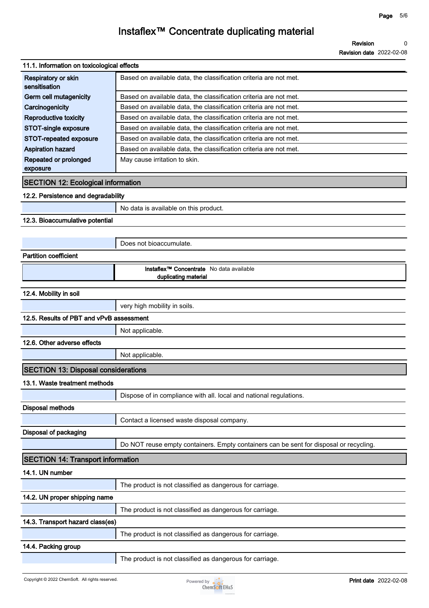**Revision Revision date 2022-02-08 0**

| 11.1. Information on toxicological effects |                                                                                        |
|--------------------------------------------|----------------------------------------------------------------------------------------|
| Respiratory or skin<br>sensitisation       | Based on available data, the classification criteria are not met.                      |
| Germ cell mutagenicity                     | Based on available data, the classification criteria are not met.                      |
| Carcinogenicity                            | Based on available data, the classification criteria are not met.                      |
| <b>Reproductive toxicity</b>               | Based on available data, the classification criteria are not met.                      |
| STOT-single exposure                       | Based on available data, the classification criteria are not met.                      |
| <b>STOT-repeated exposure</b>              | Based on available data, the classification criteria are not met.                      |
| <b>Aspiration hazard</b>                   | Based on available data, the classification criteria are not met.                      |
| Repeated or prolonged<br>exposure          | May cause irritation to skin.                                                          |
| <b>SECTION 12: Ecological information</b>  |                                                                                        |
| 12.2. Persistence and degradability        |                                                                                        |
|                                            | No data is available on this product.                                                  |
| 12.3. Bioaccumulative potential            |                                                                                        |
|                                            |                                                                                        |
|                                            | Does not bioaccumulate.                                                                |
| <b>Partition coefficient</b>               |                                                                                        |
|                                            | Instaflex <sup>™</sup> Concentrate No data available<br>duplicating material           |
| 12.4. Mobility in soil                     |                                                                                        |
|                                            | very high mobility in soils.                                                           |
| 12.5. Results of PBT and vPvB assessment   |                                                                                        |
|                                            | Not applicable.                                                                        |
| 12.6. Other adverse effects                |                                                                                        |
|                                            | Not applicable.                                                                        |
| <b>SECTION 13: Disposal considerations</b> |                                                                                        |
| 13.1. Waste treatment methods              |                                                                                        |
|                                            | Dispose of in compliance with all. local and national regulations.                     |
| <b>Disposal methods</b>                    |                                                                                        |
|                                            | Contact a licensed waste disposal company.                                             |
| <b>Disposal of packaging</b>               |                                                                                        |
|                                            | Do NOT reuse empty containers. Empty containers can be sent for disposal or recycling. |
| <b>SECTION 14: Transport information</b>   |                                                                                        |
| 14.1. UN number                            |                                                                                        |
|                                            | The product is not classified as dangerous for carriage.                               |
| 14.2. UN proper shipping name              |                                                                                        |
|                                            | The product is not classified as dangerous for carriage.                               |
| 14.3. Transport hazard class(es)           |                                                                                        |
|                                            | The product is not classified as dangerous for carriage.                               |
| 14.4. Packing group                        |                                                                                        |
|                                            |                                                                                        |

**The product is not classified as dangerous for carriage.**